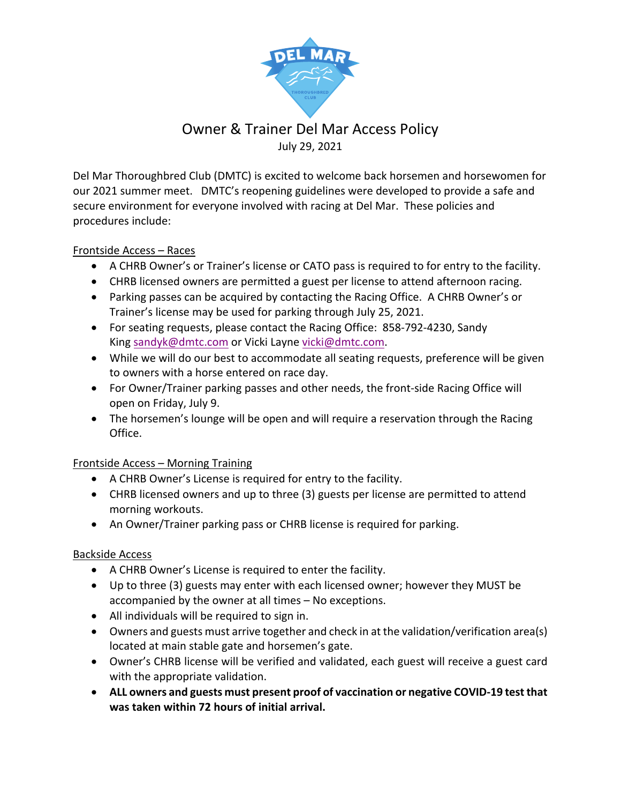

# Owner & Trainer Del Mar Access Policy July 29, 2021

Del Mar Thoroughbred Club (DMTC) is excited to welcome back horsemen and horsewomen for our 2021 summer meet. DMTC's reopening guidelines were developed to provide a safe and secure environment for everyone involved with racing at Del Mar. These policies and procedures include:

### Frontside Access – Races

- A CHRB Owner's or Trainer's license or CATO pass is required to for entry to the facility.
- CHRB licensed owners are permitted a guest per license to attend afternoon racing.
- Parking passes can be acquired by contacting the Racing Office. A CHRB Owner's or Trainer's license may be used for parking through July 25, 2021.
- For seating requests, please contact the Racing Office: 858-792-4230, Sandy King sandyk@dmtc.com or Vicki Layne vicki@dmtc.com.
- While we will do our best to accommodate all seating requests, preference will be given to owners with a horse entered on race day.
- For Owner/Trainer parking passes and other needs, the front-side Racing Office will open on Friday, July 9.
- The horsemen's lounge will be open and will require a reservation through the Racing Office.

### Frontside Access – Morning Training

- A CHRB Owner's License is required for entry to the facility.
- CHRB licensed owners and up to three (3) guests per license are permitted to attend morning workouts.
- An Owner/Trainer parking pass or CHRB license is required for parking.

### Backside Access

- A CHRB Owner's License is required to enter the facility.
- Up to three (3) guests may enter with each licensed owner; however they MUST be accompanied by the owner at all times – No exceptions.
- All individuals will be required to sign in.
- Owners and guests must arrive together and check in at the validation/verification area(s) located at main stable gate and horsemen's gate.
- Owner's CHRB license will be verified and validated, each guest will receive a guest card with the appropriate validation.
- **ALL owners and guests must present proof of vaccination or negative COVID-19 test that was taken within 72 hours of initial arrival.**